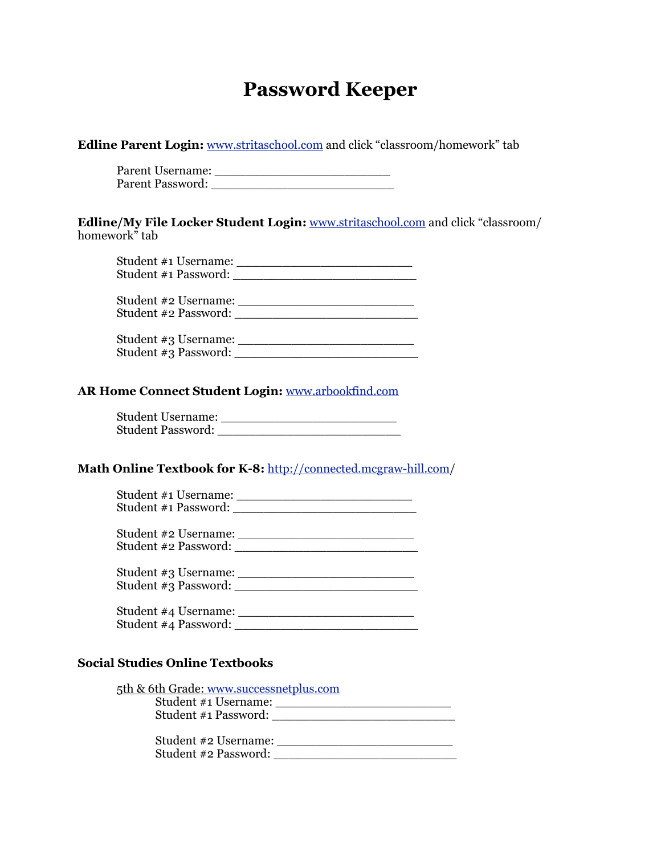# **Password Keeper**

| <b>Edline Parent Login:</b> www.stritaschool.com and click "classroom/homework" tab |  |
|-------------------------------------------------------------------------------------|--|
|-------------------------------------------------------------------------------------|--|

 Parent Username: \_\_\_\_\_\_\_\_\_\_\_\_\_\_\_\_\_\_\_\_\_\_\_ Parent Password: \_\_\_\_\_\_\_\_\_\_\_\_\_\_\_\_\_\_\_\_\_\_\_\_

**Edline/My File Locker Student Login:** [www.stritaschool.com](http://www.stritaschool.com) and click "classroom/ homework" tab

| Student #1 Username:<br>Student #1 Password: |  |
|----------------------------------------------|--|
| Student #2 Username:<br>Student #2 Password: |  |
| Student #3 Username:<br>Student #3 Password: |  |

#### **AR Home Connect Student Login:** [www.arbookfind.com](http://www.arbookfind.com)

| <b>Student Username:</b> |  |
|--------------------------|--|
| <b>Student Password:</b> |  |

### **Math Online Textbook for K-8:** [http://connected.mcgraw-hill.com/](http://connected.mcgraw-hill.com)

| Student #1 Username:<br>Student #1 Password: |                      |
|----------------------------------------------|----------------------|
| Student #2 Password:                         | Student #2 Username: |
| Student #3 Password:                         | Student #3 Username: |
| Student #4 Username:<br>Student #4 Password: |                      |

#### **Social Studies Online Textbooks**

| 5th & 6th Grade: www.successnetplus.com |  |
|-----------------------------------------|--|
| Student #1 Username:                    |  |
| Student #1 Password:                    |  |

 Student #2 Username: \_\_\_\_\_\_\_\_\_\_\_\_\_\_\_\_\_\_\_\_\_\_\_ Student #2 Password: \_\_\_\_\_\_\_\_\_\_\_\_\_\_\_\_\_\_\_\_\_\_\_\_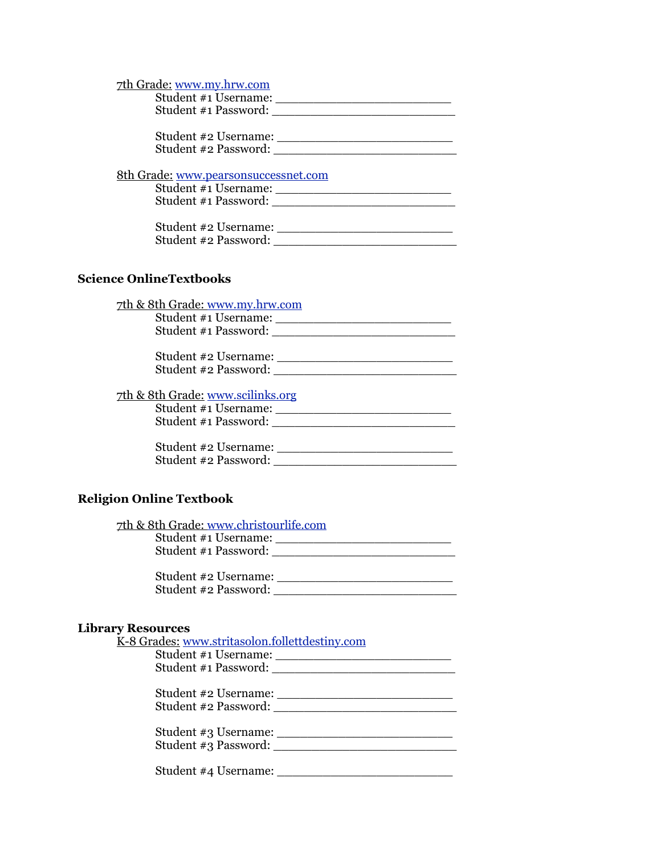| 7th Grade: www.my.hrw.com<br>Student #1 Username:<br>Student #1 Password: |  |
|---------------------------------------------------------------------------|--|
| Student #2 Username:<br>Student #2 Password:                              |  |
| 8th Grade: www.pearsonsuccessnet.com                                      |  |
| Student #1 Username:<br>Student #1 Password:                              |  |

| Student #2 Username: |  |
|----------------------|--|
| Student #2 Password: |  |

## **Science OnlineTextbooks**

| <u>7th &amp; 8th Grade: www.my.hrw.com</u><br>Student #1 Username:                           |
|----------------------------------------------------------------------------------------------|
| Student #1 Password:                                                                         |
| Student #2 Username:<br>Student #2 Password:                                                 |
| <u>7th &amp; 8th Grade: www.scilinks.org</u><br>Student #1 Username:<br>Student #1 Password: |
| Student #2 Username:<br>Student #2 Password:                                                 |

# **Religion Online Textbook**

| 7th & 8th Grade: www.christourlife.com |  |
|----------------------------------------|--|
| Student #1 Username:                   |  |
| Student #1 Password:                   |  |
|                                        |  |

| Student #2 Username: |  |
|----------------------|--|
| Student #2 Password: |  |

#### **Library Resources**

| K-8 Grades: www.stritasolon.follettdestiny.com |
|------------------------------------------------|
| Student #1 Username:                           |
|                                                |
|                                                |
| Student #2 Password:                           |
|                                                |
| Student #3 Password:                           |
| Student #4 Username:                           |